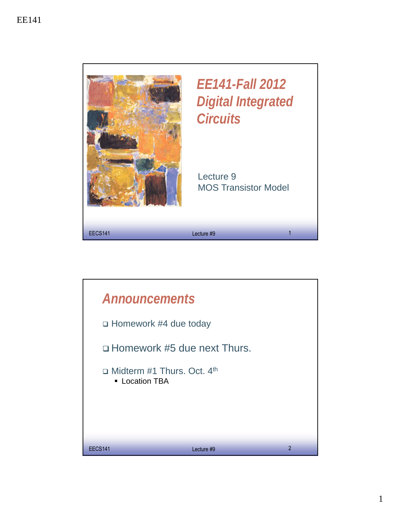

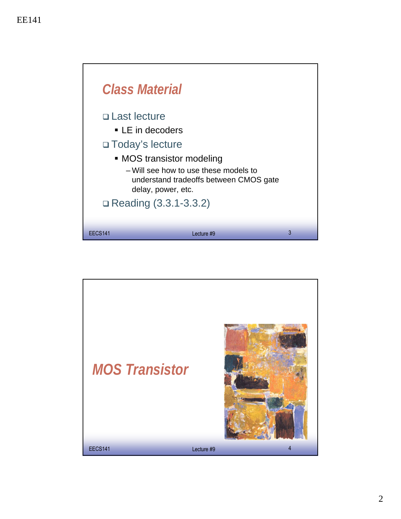

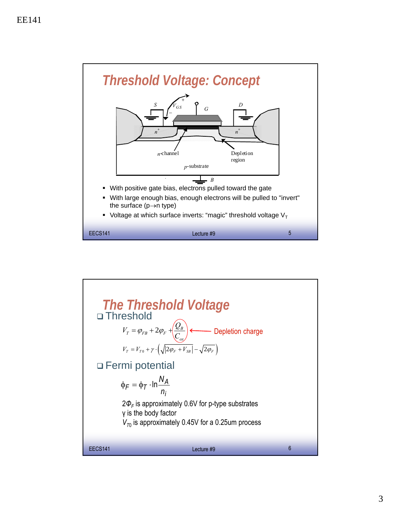

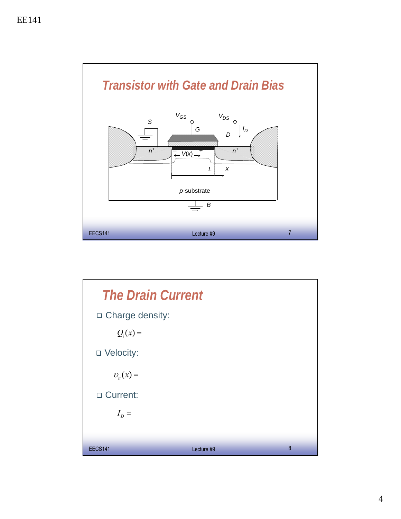

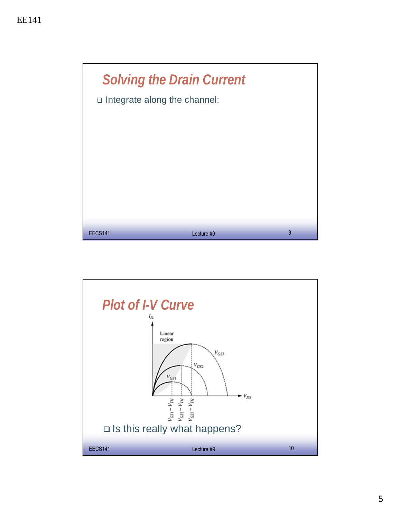

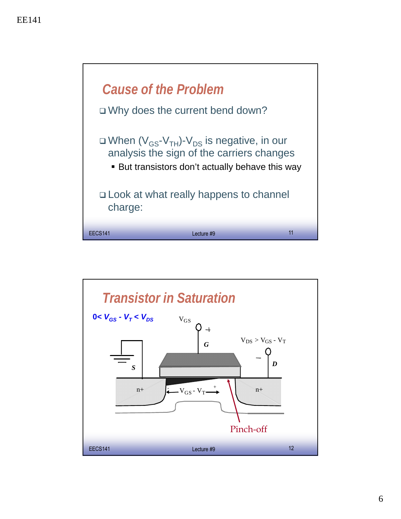

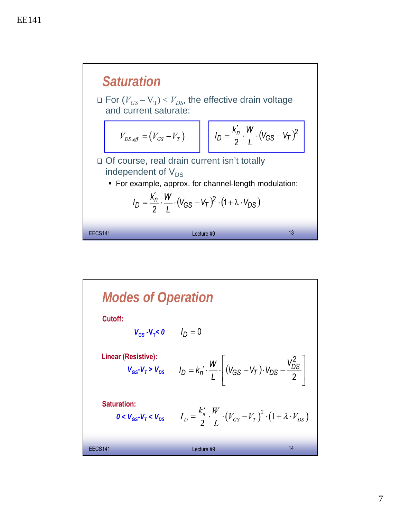

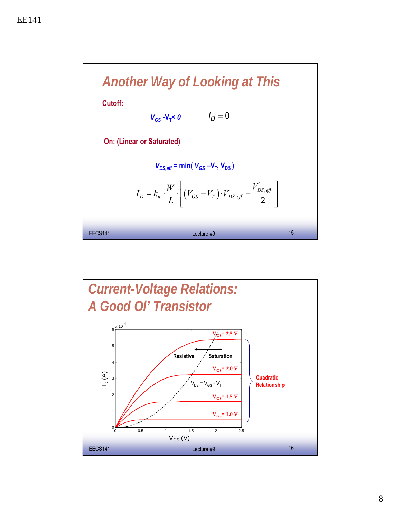

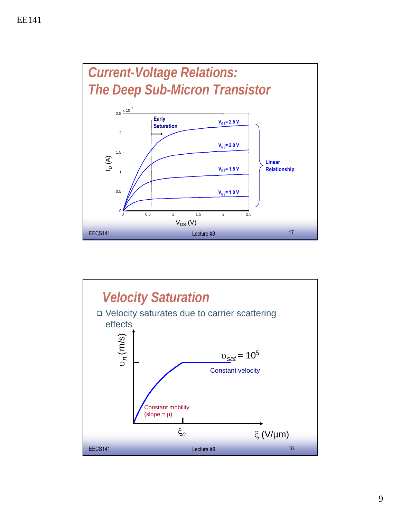

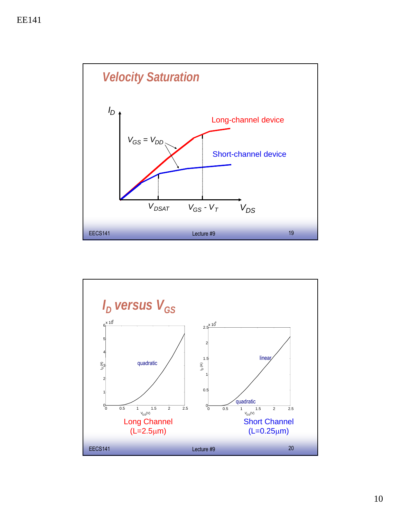

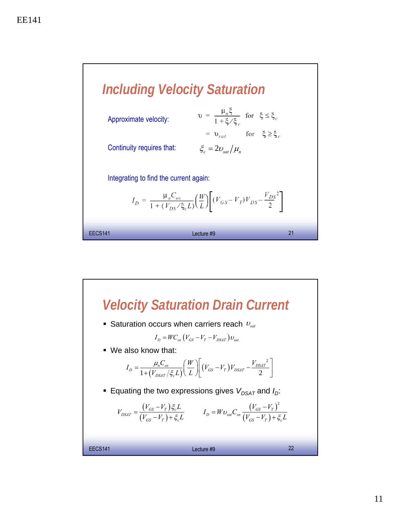

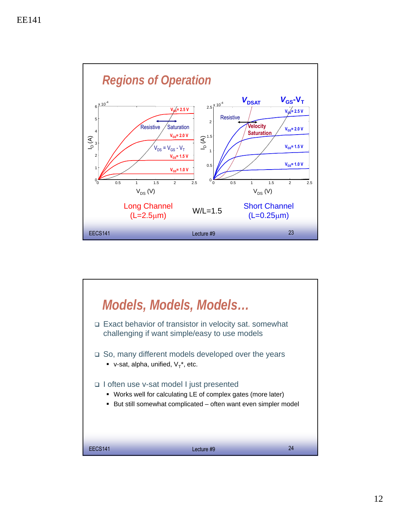

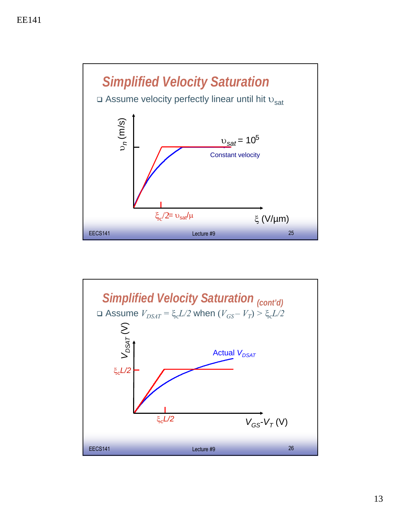

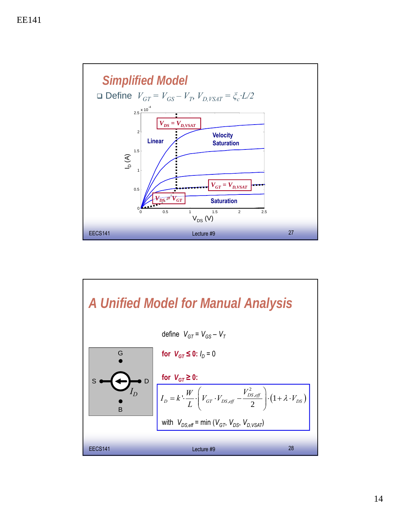

## EECS141 **EECS141 EECS141 EECS141 EECS141 EECS141** *A Unified Model for Manual Analysis* B D G *ID* s o  $(1+\lambda\cdot V_{DS})$ 2  $\left| \frac{W}{L} \cdot \right| V_{GT} \cdot V_{DS, eff} - \frac{V_{DS, eff}}{2} \cdot (1$ *DS eff*  $D - N \left[\frac{1}{I}\right]$  or  $GT \sim DS$ , eff  $\frac{1}{I}$   $\left[\frac{1}{I} + N \right]$   $DS$  $I_D = k' \cdot \frac{W}{I} \cdot \left( V_{GT} \cdot V_{DS, eff} - \frac{V_{DS, eff}^2}{2} \right) \cdot \left( 1 + \lambda \cdot V_{DS, eff} \right)$ *L*  $\left(\frac{V_{DS,eff}}{V_{CT} \cdot V_{DS,eff}}\right) \cdot (1+\lambda)$  $= k \cdot \frac{W}{I} \cdot \left| V_{GT} \cdot V_{DS, eff} - \frac{V_{DS, eff}}{2} \right| \cdot \left(1 + \lambda \cdot \right)$  $\begin{pmatrix} 2 & 1 \\ 1 & 1 \end{pmatrix}$ **for**  $V_{GT} \le 0: I_D = 0$ with  $V_{DS,eff}$  = min ( $V_{GT}$ ,  $V_{DS}$ ,  $V_{D,VSAT}$ ) for  $V_{GT} \geq 0$ : define  $V_{GT} = V_{GS} - V_T$